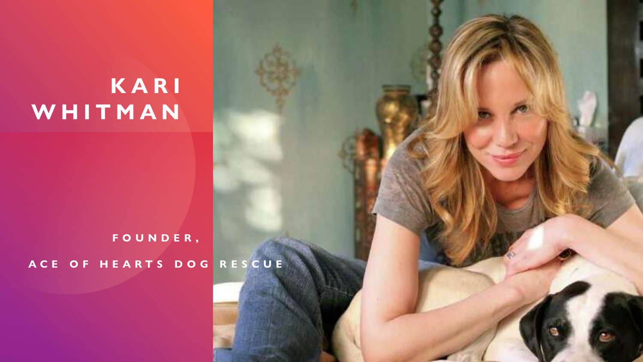## **K A R I W H I T M A N**

## **F O U N D E R ,**

**A C E O F H E A R T S D O G R E S C U E**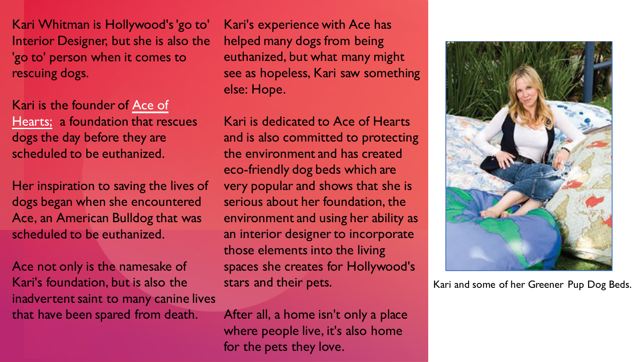Kari Whitman is Hollywood's 'go to' Interior Designer, but she is also the 'go to' person when it comes to rescuing dogs.

Kari is the founder of Ace of Hearts; [a foundation that res](http://www.acesangels.org)cues dogs the day before they are scheduled to be euthanized.

Her inspiration to saving the lives of dogs began when she encountered Ace, an American Bulldog that was scheduled to be euthanized.

Ace not only is the namesake of Kari's foundation, but is also the inadvertent saint to many canine lives that have been spared from death.

Kari's experience with Ace has helped many dogs from being euthanized, but what many might see as hopeless, Kari saw something else: Hope.

Kari is dedicated to Ace of Hearts and is also committed to protecting the environment and has created eco-friendly dog beds which are very popular and shows that she is serious about her foundation, the environment and using her ability as an interior designer to incorporate those elements into the living spaces she creates for Hollywood's stars and their pets.

After all, a home isn't only a place where people live, it's also home for the pets they love.



Kari and some of her Greener Pup Dog Beds.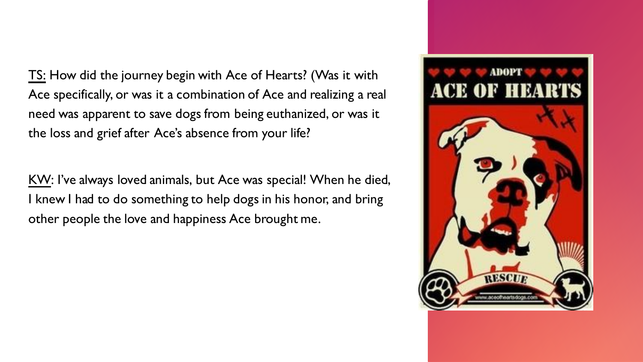TS: How did the journey begin with Ace of Hearts? (Was it with Ace specifically, or was it a combination of Ace and realizing a real need was apparent to save dogs from being euthanized, or was it the loss and grief after Ace's absence from your life?

KW: I've always loved animals, but Ace was special! When he died, I knew I had to do something to help dogs in his honor, and bring other people the love and happiness Ace brought me.

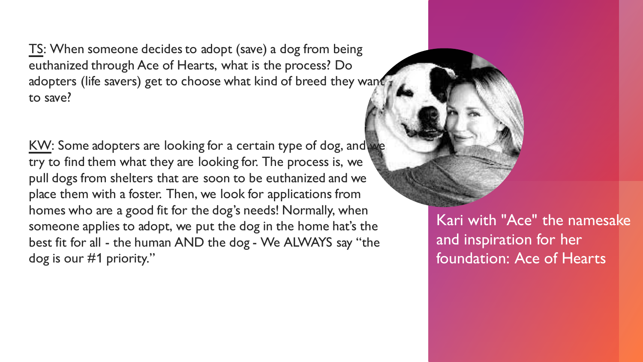TS: When someone decides to adopt (save) a dog from being euthanized through Ace of Hearts, what is the process? Do adopters (life savers) get to choose what kind of breed they want to save?

KW: Some adopters are looking for a certain type of dog, and we try to find them what they are looking for. The process is, we pull dogs from shelters that are soon to be euthanized and we place them with a foster. Then, we look for applications from homes who are a good fit for the dog's needs! Normally, when someone applies to adopt, we put the dog in the home hat's the best fit for all - the human AND the dog - We ALWAYS say "the dog is our #1 priority."

Kari with "Ace" the namesake and inspiration for her foundation: Ace of Hearts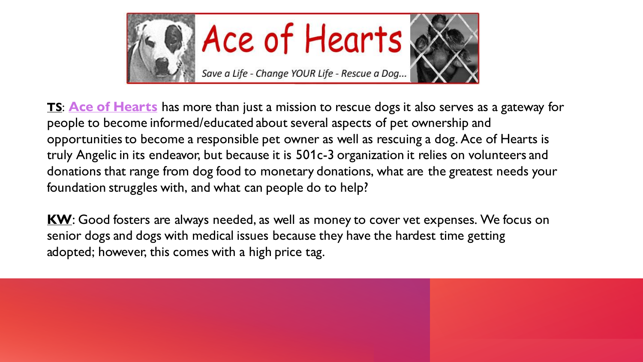

**TS**: **[Ace of Hearts](http://www.acesangels.org)** has more than just a mission to rescue dogs it also serves as a gateway for people to become informed/educated about several aspects of pet ownership and opportunities to become a responsible pet owner as well as rescuing a dog. Ace of Hearts is truly Angelic in its endeavor, but because it is 501c-3 organization it relies on volunteers and donations that range from dog food to monetary donations, what are the greatest needs your foundation struggles with, and what can people do to help?

**KW**: Good fosters are always needed, as well as money to cover vet expenses. We focus on senior dogs and dogs with medical issues because they have the hardest time getting adopted; however, this comes with a high price tag.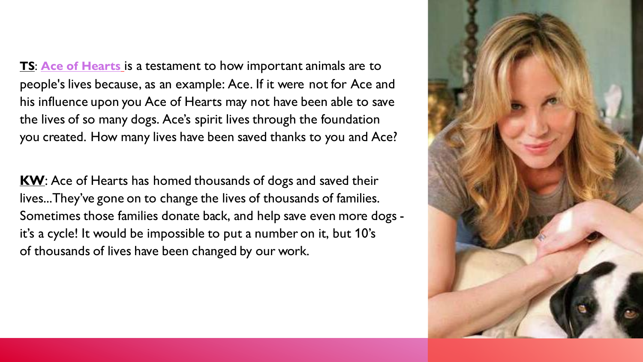**TS**: **[Ace of Hearts](http://www.acesangels.org)** is a testament to how important animals are to people's lives because, as an example: Ace. If it were not for Ace and his influence upon you Ace of Hearts may not have been able to save the lives of so many dogs. Ace's spirit lives through the foundation you created. How many lives have been saved thanks to you and Ace?

**KW**: Ace of Hearts has homed thousands of dogs and saved their lives...They've gone on to change the lives of thousands of families. Sometimes those families donate back, and help save even more dogs it's a cycle! It would be impossible to put a number on it, but 10's of thousands of lives have been changed by our work.

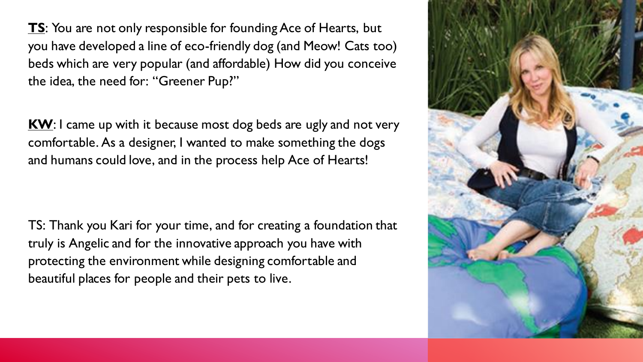**TS**: You are not only responsible for founding Ace of Hearts, but you have developed a line of eco-friendly dog (and Meow! Cats too) beds which are very popular (and affordable) How did you conceive the idea, the need for: "Greener Pup?"

**KW**: I came up with it because most dog beds are ugly and not very comfortable. As a designer, I wanted to make something the dogs and humans could love, and in the process help Ace of Hearts!

TS: Thank you Kari for your time, and for creating a foundation that truly is Angelic and for the innovative approach you have with protecting the environment while designing comfortable and beautiful places for people and their pets to live.